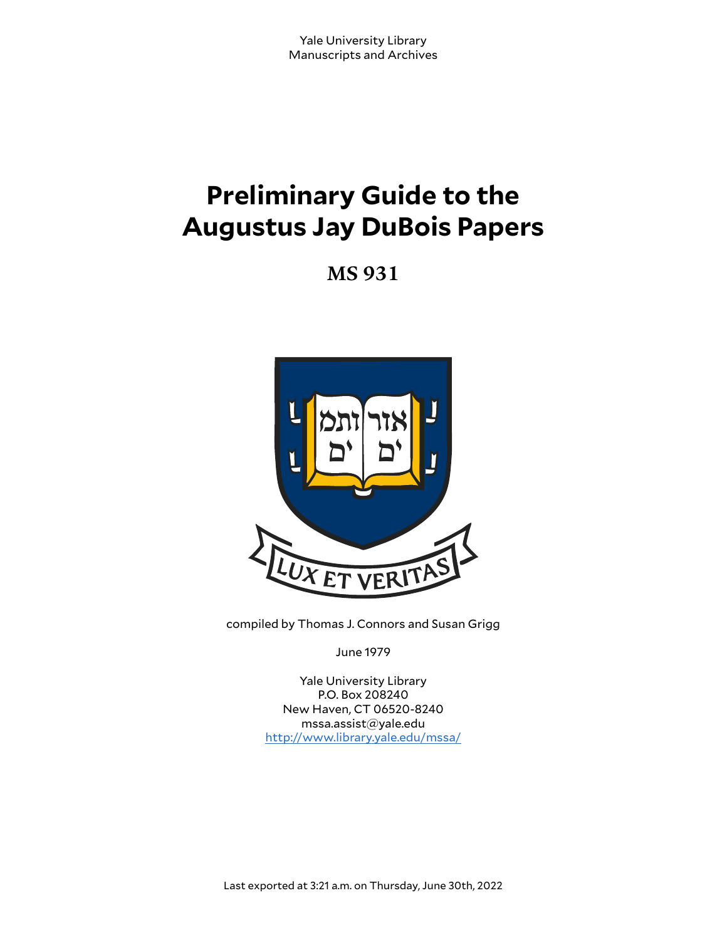# **Preliminary Guide to the Augustus Jay DuBois Papers**

**MS 931**



compiled by Thomas J. Connors and Susan Grigg

June 1979

Yale University Library P.O. Box 208240 New Haven, CT 06520-8240 mssa.assist@yale.edu <http://www.library.yale.edu/mssa/>

Last exported at 3:21 a.m. on Thursday, June 30th, 2022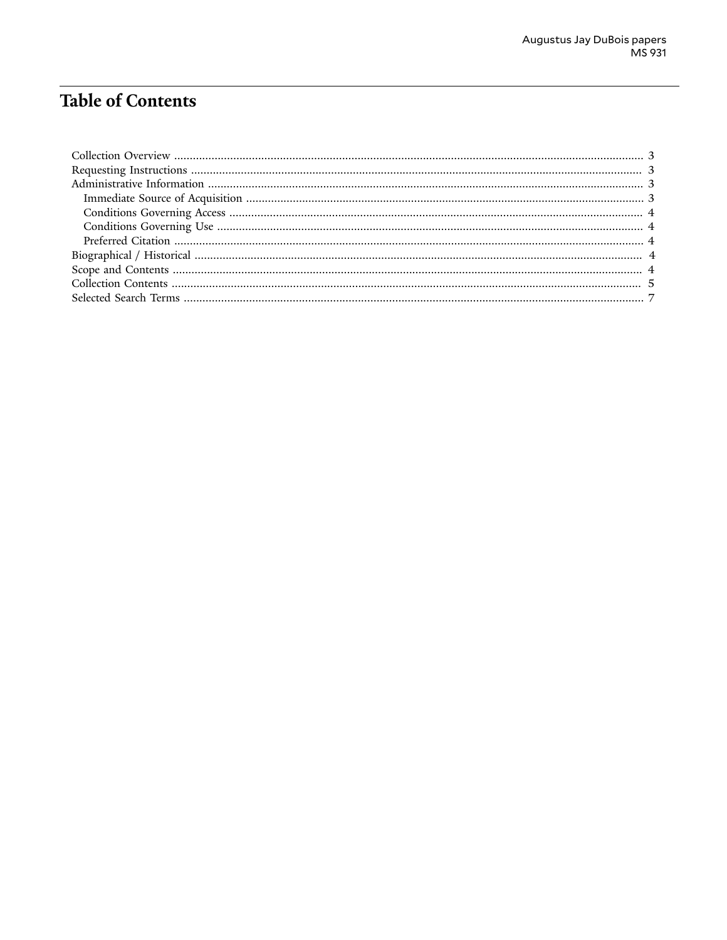# **Table of Contents**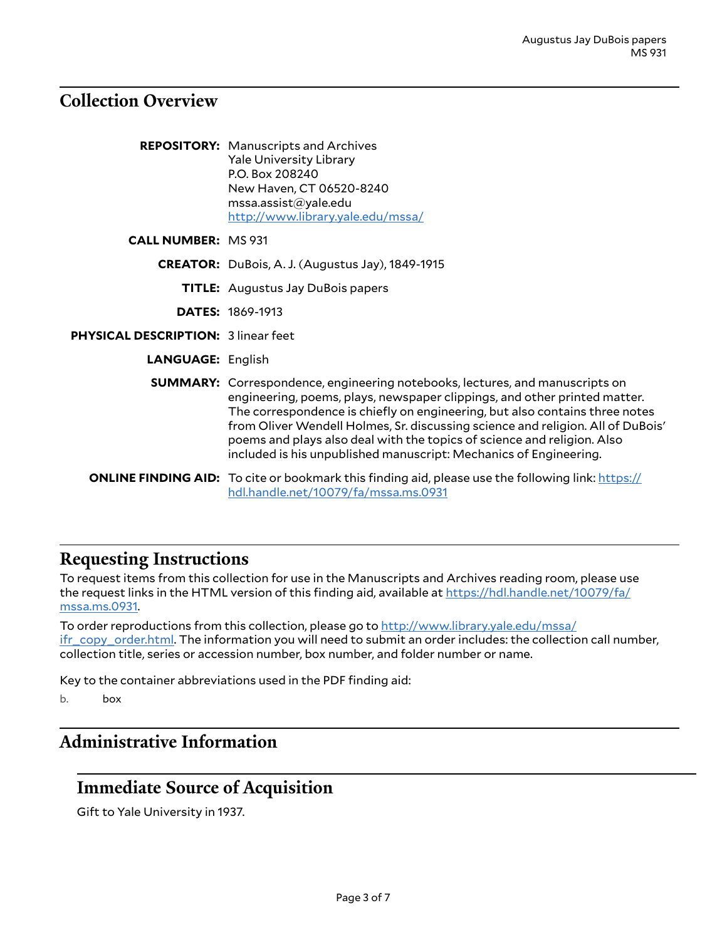#### <span id="page-2-0"></span>**Collection Overview**

|                                     | <b>REPOSITORY:</b> Manuscripts and Archives<br><b>Yale University Library</b><br>P.O. Box 208240<br>New Haven, CT 06520-8240<br>msa. assist@yale.edu<br>http://www.library.yale.edu/mssa/                                                                                                                                                                                                                                                                                          |
|-------------------------------------|------------------------------------------------------------------------------------------------------------------------------------------------------------------------------------------------------------------------------------------------------------------------------------------------------------------------------------------------------------------------------------------------------------------------------------------------------------------------------------|
| <b>CALL NUMBER: MS 931</b>          |                                                                                                                                                                                                                                                                                                                                                                                                                                                                                    |
|                                     | <b>CREATOR:</b> DuBois, A. J. (Augustus Jay), 1849-1915                                                                                                                                                                                                                                                                                                                                                                                                                            |
|                                     | <b>TITLE:</b> Augustus Jay DuBois papers                                                                                                                                                                                                                                                                                                                                                                                                                                           |
|                                     | <b>DATES: 1869-1913</b>                                                                                                                                                                                                                                                                                                                                                                                                                                                            |
| PHYSICAL DESCRIPTION: 3 linear feet |                                                                                                                                                                                                                                                                                                                                                                                                                                                                                    |
| <b>LANGUAGE: English</b>            |                                                                                                                                                                                                                                                                                                                                                                                                                                                                                    |
|                                     | <b>SUMMARY:</b> Correspondence, engineering notebooks, lectures, and manuscripts on<br>engineering, poems, plays, newspaper clippings, and other printed matter.<br>The correspondence is chiefly on engineering, but also contains three notes<br>from Oliver Wendell Holmes, Sr. discussing science and religion. All of DuBois'<br>poems and plays also deal with the topics of science and religion. Also<br>included is his unpublished manuscript: Mechanics of Engineering. |
|                                     | <b>ONLINE FINDING AID:</b> To cite or bookmark this finding aid, please use the following link: https://<br>hdl.handle.net/10079/fa/mssa.ms.0931                                                                                                                                                                                                                                                                                                                                   |

#### <span id="page-2-1"></span>**Requesting Instructions**

To request items from this collection for use in the Manuscripts and Archives reading room, please use the request links in the HTML version of this finding aid, available at [https://hdl.handle.net/10079/fa/](https://hdl.handle.net/10079/fa/mssa.ms.0931) [mssa.ms.0931](https://hdl.handle.net/10079/fa/mssa.ms.0931).

To order reproductions from this collection, please go to [http://www.library.yale.edu/mssa/](http://www.library.yale.edu/mssa/ifr_copy_order.html) [ifr\\_copy\\_order.html.](http://www.library.yale.edu/mssa/ifr_copy_order.html) The information you will need to submit an order includes: the collection call number, collection title, series or accession number, box number, and folder number or name.

Key to the container abbreviations used in the PDF finding aid:

b. box

## <span id="page-2-2"></span>**Administrative Information**

#### <span id="page-2-3"></span>**Immediate Source of Acquisition**

Gift to Yale University in 1937.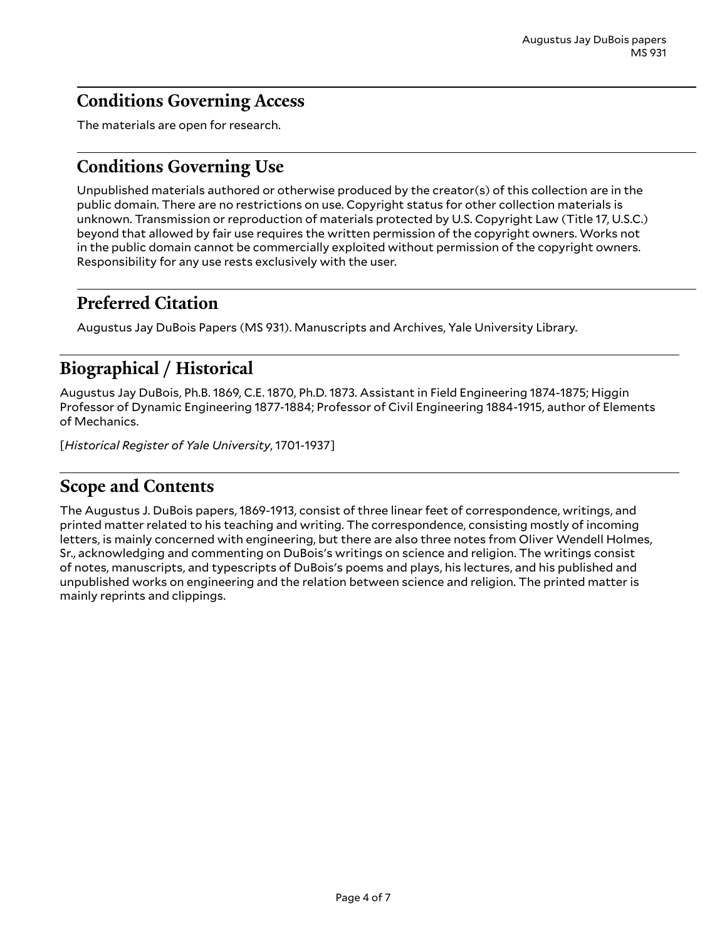### <span id="page-3-0"></span>**Conditions Governing Access**

The materials are open for research.

### <span id="page-3-1"></span>**Conditions Governing Use**

Unpublished materials authored or otherwise produced by the creator(s) of this collection are in the public domain. There are no restrictions on use. Copyright status for other collection materials is unknown. Transmission or reproduction of materials protected by U.S. Copyright Law (Title 17, U.S.C.) beyond that allowed by fair use requires the written permission of the copyright owners. Works not in the public domain cannot be commercially exploited without permission of the copyright owners. Responsibility for any use rests exclusively with the user.

### <span id="page-3-2"></span>**Preferred Citation**

Augustus Jay DuBois Papers (MS 931). Manuscripts and Archives, Yale University Library.

### <span id="page-3-3"></span>**Biographical / Historical**

Augustus Jay DuBois, Ph.B. 1869, C.E. 1870, Ph.D. 1873. Assistant in Field Engineering 1874-1875; Higgin Professor of Dynamic Engineering 1877-1884; Professor of Civil Engineering 1884-1915, author of Elements of Mechanics.

[*Historical Register of Yale University*, 1701-1937]

### <span id="page-3-4"></span>**Scope and Contents**

The Augustus J. DuBois papers, 1869-1913, consist of three linear feet of correspondence, writings, and printed matter related to his teaching and writing. The correspondence, consisting mostly of incoming letters, is mainly concerned with engineering, but there are also three notes from Oliver Wendell Holmes, Sr., acknowledging and commenting on DuBois's writings on science and religion. The writings consist of notes, manuscripts, and typescripts of DuBois's poems and plays, his lectures, and his published and unpublished works on engineering and the relation between science and religion. The printed matter is mainly reprints and clippings.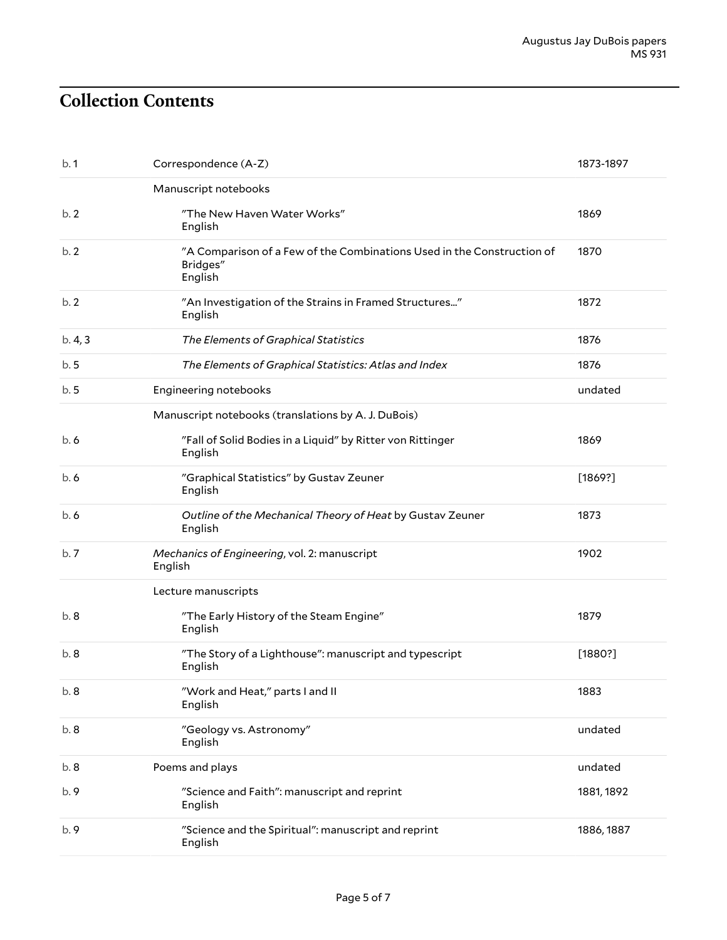# <span id="page-4-0"></span>**Collection Contents**

| b.1   | Correspondence (A-Z)                                                                          | 1873-1897  |
|-------|-----------------------------------------------------------------------------------------------|------------|
|       | Manuscript notebooks                                                                          |            |
| b.2   | "The New Haven Water Works"<br>English                                                        | 1869       |
| b.2   | "A Comparison of a Few of the Combinations Used in the Construction of<br>Bridges"<br>English | 1870       |
| b.2   | "An Investigation of the Strains in Framed Structures"<br>English                             | 1872       |
| b.4,3 | The Elements of Graphical Statistics                                                          | 1876       |
| b.5   | The Elements of Graphical Statistics: Atlas and Index                                         | 1876       |
| b.5   | Engineering notebooks                                                                         | undated    |
|       | Manuscript notebooks (translations by A. J. DuBois)                                           |            |
| b.6   | "Fall of Solid Bodies in a Liquid" by Ritter von Rittinger<br>English                         | 1869       |
| b.6   | "Graphical Statistics" by Gustav Zeuner<br>English                                            | [1869?]    |
| b.6   | Outline of the Mechanical Theory of Heat by Gustav Zeuner<br>English                          | 1873       |
| b.7   | Mechanics of Engineering, vol. 2: manuscript<br>English                                       | 1902       |
|       | Lecture manuscripts                                                                           |            |
| b.8   | "The Early History of the Steam Engine"<br>English                                            | 1879       |
| b.8   | "The Story of a Lighthouse": manuscript and typescript<br>English                             | [1880?]    |
| b. 8  | "Work and Heat," parts I and II<br>English                                                    | 1883       |
| b.8   | "Geology vs. Astronomy"<br>English                                                            | undated    |
| b.8   | Poems and plays                                                                               | undated    |
| b. 9  | "Science and Faith": manuscript and reprint<br>English                                        | 1881, 1892 |
| b.9   | "Science and the Spiritual": manuscript and reprint<br>English                                | 1886, 1887 |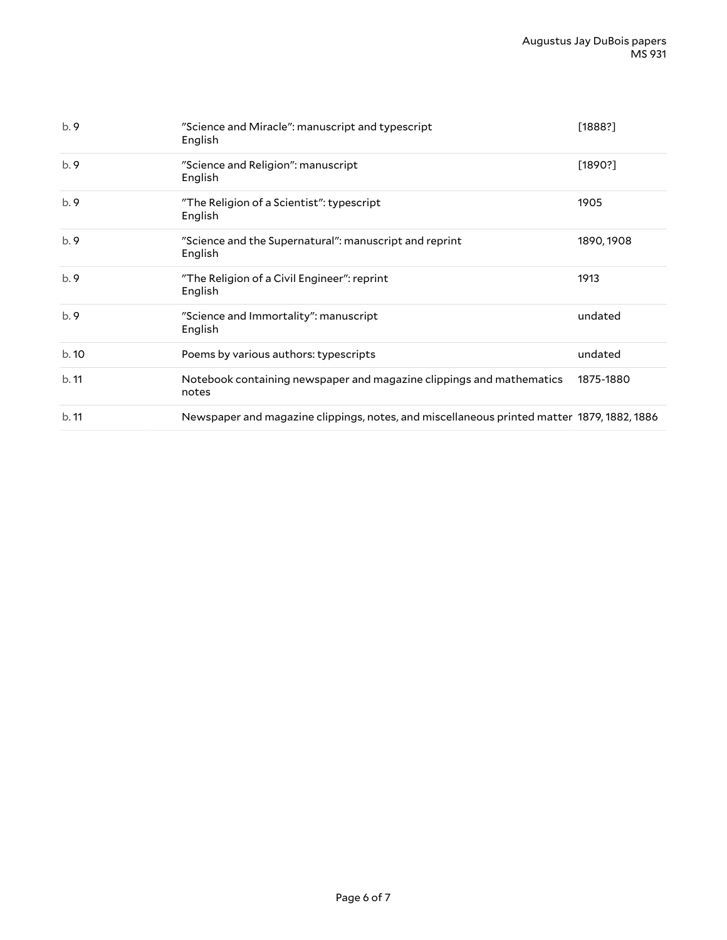| b.9  | "Science and Miracle": manuscript and typescript<br>English                                | [1888?]    |
|------|--------------------------------------------------------------------------------------------|------------|
| b.9  | "Science and Religion": manuscript<br>English                                              | [1890?]    |
| b.9  | "The Religion of a Scientist": typescript<br>English                                       | 1905       |
| b.9  | "Science and the Supernatural": manuscript and reprint<br>English                          | 1890, 1908 |
| b.9  | "The Religion of a Civil Engineer": reprint<br>English                                     | 1913       |
| b.9  | "Science and Immortality": manuscript<br>English                                           | undated    |
| b.10 | Poems by various authors: typescripts                                                      | undated    |
| b.11 | Notebook containing newspaper and magazine clippings and mathematics<br>notes              | 1875-1880  |
| b.11 | Newspaper and magazine clippings, notes, and miscellaneous printed matter 1879, 1882, 1886 |            |